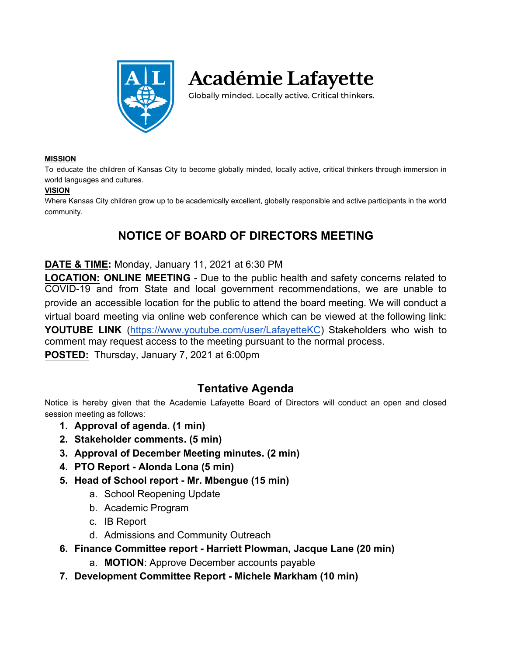

**Académie Lafayette** 

Globally minded. Locally active. Critical thinkers.

#### **MISSION**

To educate the children of Kansas City to become globally minded, locally active, critical thinkers through immersion in world languages and cultures.

#### **VISION**

Where Kansas City children grow up to be academically excellent, globally responsible and active participants in the world community.

# **NOTICE OF BOARD OF DIRECTORS MEETING**

#### **DATE & TIME:** Monday, January 11, 2021 at 6:30 PM

**LOCATION: ONLINE MEETING** - Due to the public health and safety concerns related to COVID-19 and from State and local government recommendations, we are unable to provide an accessible location for the public to attend the board meeting. We will conduct a virtual board meeting via online web conference which can be viewed at the following link: **YOUTUBE LINK** [\(https://www.youtube.com/user/LafayetteKC](https://www.youtube.com/user/LafayetteKC)) Stakeholders who wish to comment may request access to the meeting pursuant to the normal process. **POSTED:** Thursday, January 7, 2021 at 6:00pm

#### **Tentative Agenda**

Notice is hereby given that the Academie Lafayette Board of Directors will conduct an open and closed session meeting as follows:

- **1. Approval of agenda. (1 min)**
- **2. Stakeholder comments. (5 min)**
- **3. Approval of December Meeting minutes. (2 min)**
- **4. PTO Report Alonda Lona (5 min)**
- **5. Head of School report Mr. Mbengue (15 min)**
	- a. School Reopening Update
	- b. Academic Program
	- c. IB Report
	- d. Admissions and Community Outreach
- **6. Finance Committee report Harriett Plowman, Jacque Lane (20 min)**
	- a. **MOTION**: Approve December accounts payable
- **7. Development Committee Report Michele Markham (10 min)**